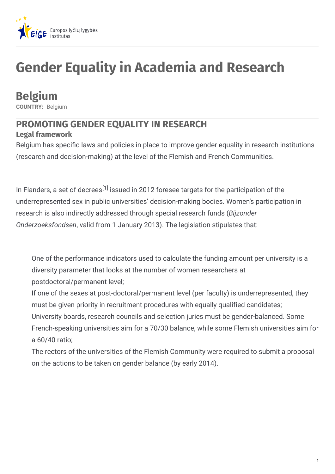

# **Gender Equality in Academia and Research**

## **Belgium**

**COUNTRY:** Belgium

### **PROMOTING GENDER EQUALITY IN RESEARCH**

### **Legal framework**

Belgium has specific laws and policies in place to improve gender equality in research institutions (research and decision-making) at the level of the Flemish and French Communities.

In Flanders, a set of decrees<sup>[1]</sup> issued in 2012 foresee targets for the participation of the underrepresented sex in public universities' decision-making bodies. Women's participation in research is also indirectly addressed through special research funds (*Bijzonder Onderzoeksfondsen*, valid from 1 January 2013). The legislation stipulates that:

One of the performance indicators used to calculate the funding amount per university is a diversity parameter that looks at the number of women researchers at postdoctoral/permanent level;

If one of the sexes at post-doctoral/permanent level (per faculty) is underrepresented, they must be given priority in recruitment procedures with equally qualified candidates; University boards, research councils and selection juries must be gender-balanced. Some French-speaking universities aim for a 70/30 balance, while some Flemish universities aim for a 60/40 ratio;

The rectors of the universities of the Flemish Community were required to submit a proposal on the actions to be taken on gender balance (by early 2014).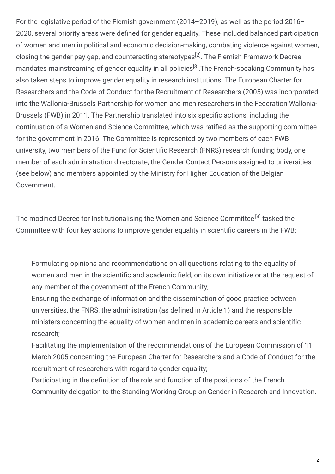For the legislative period of the Flemish government (2014–2019), as well as the period 2016– 2020, several priority areas were defined for gender equality. These included balanced participation of women and men in political and economic decision-making, combating violence against women, closing the gender pay gap, and counteracting stereotypes<sup>[2]</sup>. The Flemish Framework Decree mandates mainstreaming of gender equality in all policies<sup>[3]</sup>.The French-speaking Community has also taken steps to improve gender equality in research institutions. The European Charter for Researchers and the Code of Conduct for the Recruitment of Researchers (2005) was incorporated into the Wallonia-Brussels Partnership for women and men researchers in the Federation Wallonia-Brussels (FWB) in 2011. The Partnership translated into six specific actions, including the continuation of a Women and Science Committee, which was ratified as the supporting committee for the government in 2016. The Committee is represented by two members of each FWB university, two members of the Fund for Scientific Research (FNRS) research funding body, one member of each administration directorate, the Gender Contact Persons assigned to universities (see below) and members appointed by the Ministry for Higher Education of the Belgian Government.

The modified Decree for Institutionalising the Women and Science Committee<sup>[4]</sup> tasked the Committee with four key actions to improve gender equality in scientific careers in the FWB:

Formulating opinions and recommendations on all questions relating to the equality of women and men in the scientific and academic field, on its own initiative or at the request of any member of the government of the French Community;

Ensuring the exchange of information and the dissemination of good practice between universities, the FNRS, the administration (as defined in Article 1) and the responsible ministers concerning the equality of women and men in academic careers and scientific research;

Facilitating the implementation of the recommendations of the European Commission of 11 March 2005 concerning the European Charter for Researchers and a Code of Conduct for the recruitment of researchers with regard to gender equality;

Participating in the definition of the role and function of the positions of the French Community delegation to the Standing Working Group on Gender in Research and Innovation.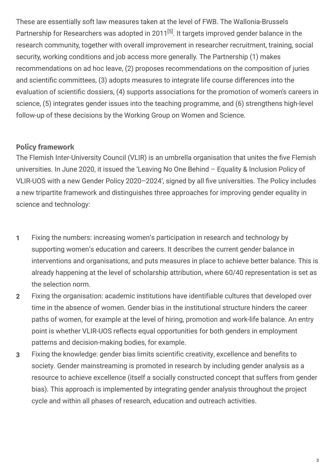These are essentially soft law measures taken at the level of FWB. The Wallonia-Brussels Partnership for Researchers was adopted in 2011<sup>[5]</sup>. It targets improved gender balance in the research community, together with overall improvement in researcher recruitment, training, social security, working conditions and job access more generally. The Partnership (1) makes recommendations on ad hoc leave, (2) proposes recommendations on the composition of juries and scientific committees, (3) adopts measures to integrate life course differences into the evaluation of scientific dossiers, (4) supports associations for the promotion of women's careers in science, (5) integrates gender issues into the teaching programme, and (6) strengthens high-level follow-up of these decisions by the Working Group on Women and Science.

### **Policy framework**

The Flemish Inter-University Council (VLIR) is an umbrella organisation that unites the five Flemish universities. In June 2020, it issued the 'Leaving No One Behind – Equality & Inclusion Policy of VLIR-UOS with a new Gender Policy 2020-2024', signed by all five universities. The Policy includes a new tripartite framework and distinguishes three approaches for improving gender equality in science and technology:

- Fixing the numbers: increasing women's participation in research and technology by supporting women's education and careers. It describes the current gender balance in interventions and organisations, and puts measures in place to achieve better balance. This is already happening at the level of scholarship attribution, where 60/40 representation is set as the selection norm. **1**
- Fixing the organisation: academic institutions have identifiable cultures that developed over time in the absence of women. Gender bias in the institutional structure hinders the career paths of women, for example at the level of hiring, promotion and work-life balance. An entry point is whether VLIR-UOS reflects equal opportunities for both genders in employment patterns and decision-making bodies, for example. **2**
- Fixing the knowledge: gender bias limits scientific creativity, excellence and benefits to society. Gender mainstreaming is promoted in research by including gender analysis as a resource to achieve excellence (itself a socially constructed concept that suffers from gender bias). This approach is implemented by integrating gender analysis throughout the project cycle and within all phases of research, education and outreach activities. **3**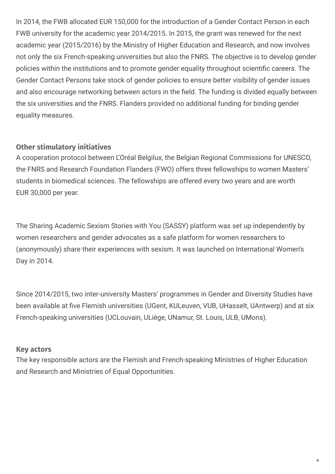In 2014, the FWB allocated EUR 150,000 for the introduction of a Gender Contact Person in each FWB university for the academic year 2014/2015. In 2015, the grant was renewed for the next academic year (2015/2016) by the Ministry of Higher Education and Research, and now involves not only the six French-speaking universities but also the FNRS. The objective is to develop gender policies within the institutions and to promote gender equality throughout scientific careers. The Gender Contact Persons take stock of gender policies to ensure better visibility of gender issues and also encourage networking between actors in the field. The funding is divided equally between the six universities and the FNRS. Flanders provided no additional funding for binding gender equality measures.

### **Other stimulatory initiatives**

A cooperation protocol between L'Oréal Belgilux, the Belgian Regional Commissions for UNESCO, the FNRS and Research Foundation Flanders (FWO) offers three fellowships to women Masters' students in biomedical sciences. The fellowships are offered every two years and are worth EUR 30,000 per year.

The Sharing Academic Sexism Stories with You (SASSY) platform was set up independently by women researchers and gender advocates as a safe platform for women researchers to (anonymously) share their experiences with sexism. It was launched on International Women's Day in 2014.

Since 2014/2015, two inter-university Masters' programmes in Gender and Diversity Studies have been available at five Flemish universities (UGent, KULeuven, VUB, UHasselt, UAntwerp) and at six French-speaking universities (UCLouvain, ULiège, UNamur, St. Louis, ULB, UMons).

### **Key actors**

The key responsible actors are the Flemish and French-speaking Ministries of Higher Education and Research and Ministries of Equal Opportunities.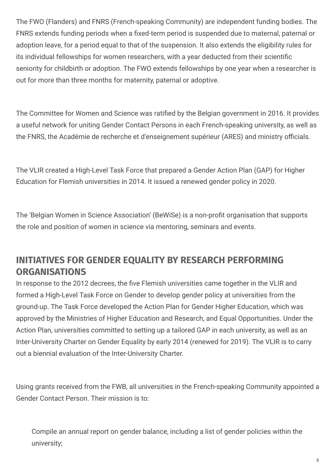The FWO (Flanders) and FNRS (French-speaking Community) are independent funding bodies. The FNRS extends funding periods when a fixed-term period is suspended due to maternal, paternal or adoption leave, for a period equal to that of the suspension. It also extends the eligibility rules for its individual fellowships for women researchers, with a year deducted from their scientific seniority for childbirth or adoption. The FWO extends fellowships by one year when a researcher is out for more than three months for maternity, paternal or adoptive.

The Committee for Women and Science was ratified by the Belgian government in 2016. It provides a useful network for uniting Gender Contact Persons in each French-speaking university, as well as the FNRS, the Académie de recherche et d'enseignement supérieur (ARES) and ministry officials.

The VLIR created a High-Level Task Force that prepared a Gender Action Plan (GAP) for Higher Education for Flemish universities in 2014. It issued a renewed gender policy in 2020.

The 'Belgian Women in Science Association' (BeWiSe) is a non-profit organisation that supports the role and position of women in science via mentoring, seminars and events.

### **INITIATIVES FOR GENDER EQUALITY BY RESEARCH PERFORMING ORGANISATIONS**

In response to the 2012 decrees, the five Flemish universities came together in the VLIR and formed a High-Level Task Force on Gender to develop gender policy at universities from the ground-up. The Task Force developed the Action Plan for Gender Higher Education, which was approved by the Ministries of Higher Education and Research, and Equal Opportunities. Under the Action Plan, universities committed to setting up a tailored GAP in each university, as well as an Inter-University Charter on Gender Equality by early 2014 (renewed for 2019). The VLIR is to carry out a biennial evaluation of the Inter-University Charter.

Using grants received from the FWB, all universities in the French-speaking Community appointed a Gender Contact Person. Their mission is to:

Compile an annual report on gender balance, including a list of gender policies within the university;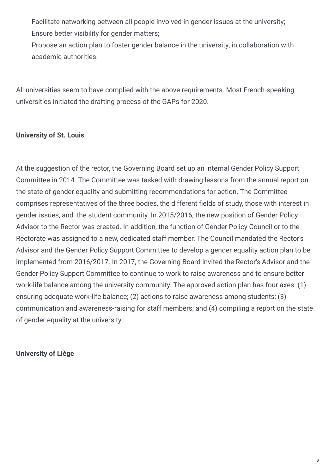Facilitate networking between all people involved in gender issues at the university; Ensure better visibility for gender matters;

Propose an action plan to foster gender balance in the university, in collaboration with academic authorities.

All universities seem to have complied with the above requirements. Most French-speaking universities initiated the drafting process of the GAPs for 2020.

#### **University of St. Louis**

At the suggestion of the rector, the Governing Board set up an internal Gender Policy Support Committee in 2014. The Committee was tasked with drawing lessons from the annual report on the state of gender equality and submitting recommendations for action. The Committee comprises representatives of the three bodies, the different fields of study, those with interest in gender issues, and the student community. In 2015/2016, the new position of Gender Policy Advisor to the Rector was created. In addition, the function of Gender Policy Councillor to the Rectorate was assigned to a new, dedicated staff member. The Council mandated the Rector's Advisor and the Gender Policy Support Committee to develop a gender equality action plan to be implemented from 2016/2017. In 2017, the Governing Board invited the Rector's Advisor and the Gender Policy Support Committee to continue to work to raise awareness and to ensure better work-life balance among the university community. The approved action plan has four axes: (1) ensuring adequate work-life balance; (2) actions to raise awareness among students; (3) communication and awareness-raising for staff members; and (4) compiling a report on the state of gender equality at the university

**University of Liège**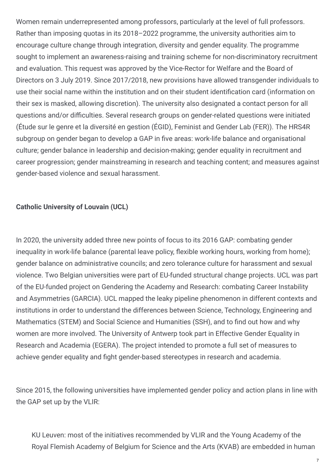Women remain underrepresented among professors, particularly at the level of full professors. Rather than imposing quotas in its 2018–2022 programme, the university authorities aim to encourage culture change through integration, diversity and gender equality. The programme sought to implement an awareness-raising and training scheme for non-discriminatory recruitment and evaluation. This request was approved by the Vice-Rector for Welfare and the Board of Directors on 3 July 2019. Since 2017/2018, new provisions have allowed transgender individuals to use their social name within the institution and on their student identification card (information on their sex is masked, allowing discretion). The university also designated a contact person for all questions and/or difficulties. Several research groups on gender-related questions were initiated (Étude sur le genre et la diversité en gestion (ÉGID), Feminist and Gender Lab (FER)). The HRS4R subgroup on gender began to develop a GAP in five areas: work-life balance and organisational culture; gender balance in leadership and decision-making; gender equality in recruitment and career progression; gender mainstreaming in research and teaching content; and measures against gender-based violence and sexual harassment.

### **Catholic University of Louvain (UCL)**

In 2020, the university added three new points of focus to its 2016 GAP: combating gender inequality in work-life balance (parental leave policy, flexible working hours, working from home); gender balance on administrative councils; and zero tolerance culture for harassment and sexual violence. Two Belgian universities were part of EU-funded structural change projects. UCL was part of the EU-funded project on Gendering the Academy and Research: combating Career Instability and Asymmetries (GARCIA). UCL mapped the leaky pipeline phenomenon in different contexts and institutions in order to understand the differences between Science, Technology, Engineering and Mathematics (STEM) and Social Science and Humanities (SSH), and to find out how and why women are more involved. The University of Antwerp took part in Effective Gender Equality in Research and Academia (EGERA). The project intended to promote a full set of measures to achieve gender equality and fight gender-based stereotypes in research and academia.

Since 2015, the following universities have implemented gender policy and action plans in line with the GAP set up by the VLIR:

KU Leuven: most of the initiatives recommended by VLIR and the Young Academy of the Royal Flemish Academy of Belgium for Science and the Arts (KVAB) are embedded in human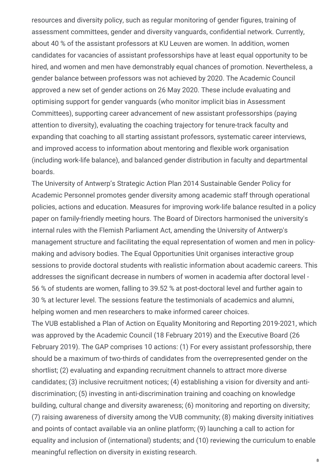resources and diversity policy, such as regular monitoring of gender figures, training of assessment committees, gender and diversity vanguards, confidential network. Currently, about 40 % of the assistant professors at KU Leuven are women. In addition, women candidates for vacancies of assistant professorships have at least equal opportunity to be hired, and women and men have demonstrably equal chances of promotion. Nevertheless, a gender balance between professors was not achieved by 2020. The Academic Council approved a new set of gender actions on 26 May 2020. These include evaluating and optimising support for gender vanguards (who monitor implicit bias in Assessment Committees), supporting career advancement of new assistant professorships (paying attention to diversity), evaluating the coaching trajectory for tenure-track faculty and expanding that coaching to all starting assistant professors, systematic career interviews, and improved access to information about mentoring and flexible work organisation (including work-life balance), and balanced gender distribution in faculty and departmental boards.

The University of Antwerp's Strategic Action Plan 2014 Sustainable Gender Policy for Academic Personnel promotes gender diversity among academic staff through operational policies, actions and education. Measures for improving work-life balance resulted in a policy paper on family-friendly meeting hours. The Board of Directors harmonised the university's internal rules with the Flemish Parliament Act, amending the University of Antwerp's management structure and facilitating the equal representation of women and men in policymaking and advisory bodies. The Equal Opportunities Unit organises interactive group sessions to provide doctoral students with realistic information about academic careers. This addresses the significant decrease in numbers of women in academia after doctoral level - 56 % of students are women, falling to 39.52 % at post-doctoral level and further again to 30 % at lecturer level. The sessions feature the testimonials of academics and alumni, helping women and men researchers to make informed career choices.

The VUB established a Plan of Action on Equality Monitoring and Reporting 2019-2021, which was approved by the Academic Council (18 February 2019) and the Executive Board (26 February 2019). The GAP comprises 10 actions: (1) For every assistant professorship, there should be a maximum of two-thirds of candidates from the overrepresented gender on the shortlist; (2) evaluating and expanding recruitment channels to attract more diverse candidates; (3) inclusive recruitment notices; (4) establishing a vision for diversity and antidiscrimination; (5) investing in anti-discrimination training and coaching on knowledge building, cultural change and diversity awareness; (6) monitoring and reporting on diversity; (7) raising awareness of diversity among the VUB community; (8) making diversity initiatives and points of contact available via an online platform; (9) launching a call to action for equality and inclusion of (international) students; and (10) reviewing the curriculum to enable meaningful reflection on diversity in existing research.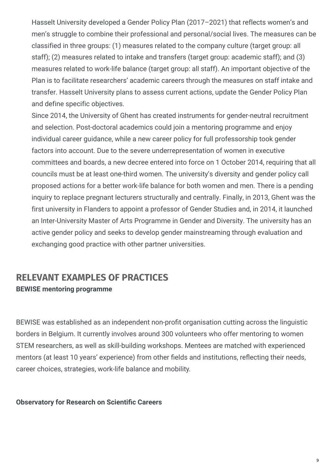Hasselt University developed a Gender Policy Plan (2017–2021) that reflects women's and men's struggle to combine their professional and personal/social lives. The measures can be classified in three groups: (1) measures related to the company culture (target group: all staff); (2) measures related to intake and transfers (target group: academic staff); and (3) measures related to work-life balance (target group: all staff). An important objective of the Plan is to facilitate researchers' academic careers through the measures on staff intake and transfer. Hasselt University plans to assess current actions, update the Gender Policy Plan and define specific objectives.

Since 2014, the University of Ghent has created instruments for gender-neutral recruitment and selection. Post-doctoral academics could join a mentoring programme and enjoy individual career guidance, while a new career policy for full professorship took gender factors into account. Due to the severe underrepresentation of women in executive committees and boards, a new decree entered into force on 1 October 2014, requiring that all councils must be at least one-third women. The university's diversity and gender policy call proposed actions for a better work-life balance for both women and men. There is a pending inquiry to replace pregnant lecturers structurally and centrally. Finally, in 2013, Ghent was the first university in Flanders to appoint a professor of Gender Studies and, in 2014, it launched an Inter-University Master of Arts Programme in Gender and Diversity. The university has an active gender policy and seeks to develop gender mainstreaming through evaluation and exchanging good practice with other partner universities.

### **RELEVANT EXAMPLES OF PRACTICES BEWISE mentoring programme**

BEWISE was established as an independent non-profit organisation cutting across the linguistic borders in Belgium. It currently involves around 300 volunteers who offer mentoring to women STEM researchers, as well as skill-building workshops. Mentees are matched with experienced mentors (at least 10 years' experience) from other fields and institutions, reflecting their needs, career choices, strategies, work-life balance and mobility.

**Observatory for Research on Scientific Careers**